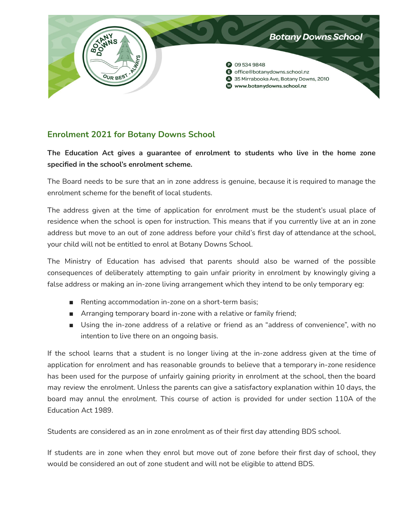

## **Enrolment 2021 for Botany Downs School**

**The Education Act gives a guarantee of enrolment to students who live in the home zone specified in the school's enrolment scheme.**

The Board needs to be sure that an in zone address is genuine, because it is required to manage the enrolment scheme for the benefit of local students.

The address given at the time of application for enrolment must be the student's usual place of residence when the school is open for instruction. This means that if you currently live at an in zone address but move to an out of zone address before your child's first day of attendance at the school, your child will not be entitled to enrol at Botany Downs School.

The Ministry of Education has advised that parents should also be warned of the possible consequences of deliberately attempting to gain unfair priority in enrolment by knowingly giving a false address or making an in-zone living arrangement which they intend to be only temporary eg:

- Renting accommodation in-zone on a short-term basis;
- Arranging temporary board in-zone with a relative or family friend;
- Using the in-zone address of a relative or friend as an "address of convenience", with no intention to live there on an ongoing basis.

If the school learns that a student is no longer living at the in-zone address given at the time of application for enrolment and has reasonable grounds to believe that a temporary in-zone residence has been used for the purpose of unfairly gaining priority in enrolment at the school, then the board may review the enrolment. Unless the parents can give a satisfactory explanation within 10 days, the board may annul the enrolment. This course of action is provided for under section 110A of the Education Act 1989.

Students are considered as an in zone enrolment as of their first day attending BDS school.

If students are in zone when they enrol but move out of zone before their first day of school, they would be considered an out of zone student and will not be eligible to attend BDS.